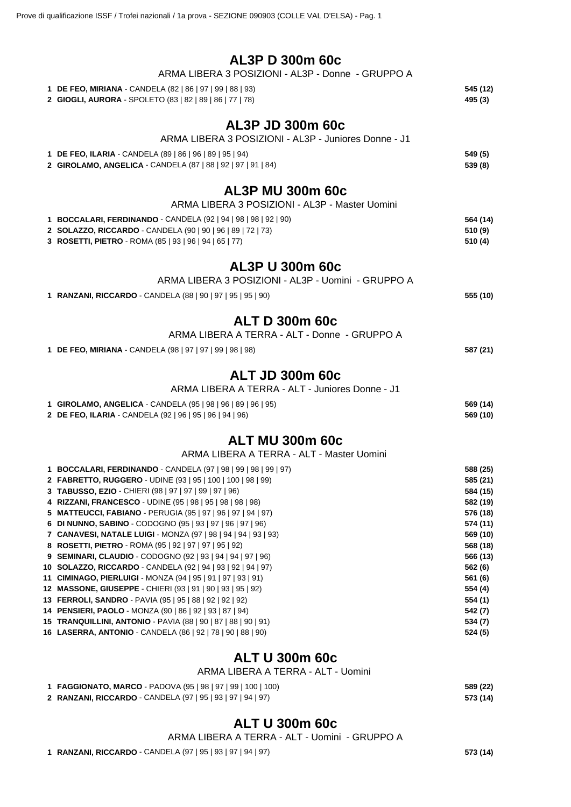| AL3P D 300m 60c |  |  |
|-----------------|--|--|
|-----------------|--|--|

| ALSP D SUUM 60C                                                                                                          |                      |
|--------------------------------------------------------------------------------------------------------------------------|----------------------|
| ARMA LIBERA 3 POSIZIONI - AL3P - Donne - GRUPPO A                                                                        |                      |
| 1 DE FEO, MIRIANA - CANDELA (82   86   97   99   88   93)                                                                | 545 (12)             |
| 2 GIOGLI, AURORA - SPOLETO (83   82   89   86   77   78)                                                                 | 495 (3)              |
| AL3P JD 300m 60c                                                                                                         |                      |
| ARMA LIBERA 3 POSIZIONI - AL3P - Juniores Donne - J1                                                                     |                      |
|                                                                                                                          |                      |
| 1 DE FEO, ILARIA - CANDELA (89   86   96   89   95   94)<br>2 GIROLAMO, ANGELICA - CANDELA (87   88   92   97   91   84) | 549 (5)<br>539 (8)   |
|                                                                                                                          |                      |
| <b>AL3P MU 300m 60c</b>                                                                                                  |                      |
| ARMA LIBERA 3 POSIZIONI - AL3P - Master Uomini                                                                           |                      |
| 1 BOCCALARI, FERDINANDO - CANDELA (92   94   98   98   92   90)                                                          | 564 (14)             |
| 2 SOLAZZO, RICCARDO - CANDELA (90   90   96   89   72   73)                                                              | 510 (9)              |
| 3 ROSETTI, PIETRO - ROMA (85   93   96   94   65   77)                                                                   | 510 (4)              |
|                                                                                                                          |                      |
| <b>AL3P U 300m 60c</b>                                                                                                   |                      |
| ARMA LIBERA 3 POSIZIONI - AL3P - Uomini - GRUPPO A                                                                       |                      |
| 1 RANZANI, RICCARDO - CANDELA (88   90   97   95   95   90)                                                              | 555 (10)             |
| <b>ALT D 300m 60c</b>                                                                                                    |                      |
| ARMA LIBERA A TERRA - ALT - Donne - GRUPPO A                                                                             |                      |
|                                                                                                                          |                      |
| 1 DE FEO, MIRIANA - CANDELA (98   97   97   99   98   98)                                                                | 587 (21)             |
| <b>ALT JD 300m 60c</b>                                                                                                   |                      |
| ARMA LIBERA A TERRA - ALT - Juniores Donne - J1                                                                          |                      |
|                                                                                                                          |                      |
| 1 GIROLAMO, ANGELICA - CANDELA (95   98   96   89   96   95)<br>2 DE FEO, ILARIA - CANDELA (92   96   95   96   94   96) | 569 (14)<br>569 (10) |
|                                                                                                                          |                      |
| <b>ALT MU 300m 60c</b>                                                                                                   |                      |
| ARMA LIBERA A TERRA - ALT - Master Uomini                                                                                |                      |
| 1 BOCCALARI, FERDINANDO - CANDELA (97   98   99   98   99   97)                                                          | 588 (25)             |
| 2 FABRETTO, RUGGERO - UDINE (93   95   100   100   98   99)                                                              | 585 (21)             |
| 3 TABUSSO, EZIO - CHIERI (98   97   97   99   97   96)                                                                   | 584 (15)             |
| 4 RIZZANI, FRANCESCO - UDINE (95   98   95   98   98   98)                                                               | 582 (19)             |
| 5 MATTEUCCI, FABIANO - PERUGIA (95   97   96   97   94   97)                                                             | 576 (18)             |
| 6 DI NUNNO, SABINO - CODOGNO (95   93   97   96   97   96)                                                               | 574 (11)             |
| 7 CANAVESI, NATALE LUIGI - MONZA (97   98   94   94   93   93)                                                           | 569 (10)             |
| 8 ROSETTI, PIETRO - ROMA (95   92   97   97   95   92)                                                                   | 568 (18)             |
| 9 SEMINARI, CLAUDIO - CODOGNO (92   93   94   94   97   96)                                                              | 566 (13)             |
| 10 SOLAZZO, RICCARDO - CANDELA (92   94   93   92   94   97)                                                             | 562 (6)              |
| 11 CIMINAGO, PIERLUIGI - MONZA (94   95   91   97   93   91)                                                             | 561 (6)              |
| 12 MASSONE, GIUSEPPE - CHIERI (93   91   90   93   95   92)                                                              | 554 (4)              |
| 13 FERROLI, SANDRO - PAVIA (95   95   88   92   92   92)                                                                 | 554 (1)              |

 **PENSIERI, PAOLO** - MONZA (90 | 86 | 92 | 93 | 87 | 94) **542 (7) TRANQUILLINI, ANTONIO** - PAVIA (88 | 90 | 87 | 88 | 90 | 91) **534 (7) LASERRA, ANTONIO** - CANDELA (86 | 92 | 78 | 90 | 88 | 90) **524 (5)**

## **ALT U 300m 60c**

## ARMA LIBERA A TERRA - ALT - Uomini

| 1 FAGGIONATO, MARCO - PADOVA (95   98   97   99   100   100) | 589 (22) |
|--------------------------------------------------------------|----------|
| 2 RANZANI, RICCARDO - CANDELA (97   95   93   97   94   97)  | 573 (14) |

## **ALT U 300m 60c**

ARMA LIBERA A TERRA - ALT - Uomini - GRUPPO A

**RANZANI, RICCARDO** - CANDELA (97 | 95 | 93 | 97 | 94 | 97) **573 (14)**